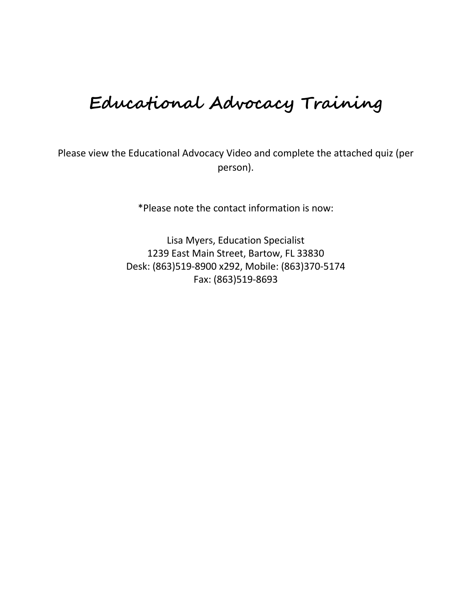## **Educational Advocacy Training**

Please view the Educational Advocacy Video and complete the attached quiz (per person).

\*Please note the contact information is now:

Lisa Myers, Education Specialist 1239 East Main Street, Bartow, FL 33830 Desk: (863)519-8900 x292, Mobile: (863)370-5174 Fax: (863)519-8693